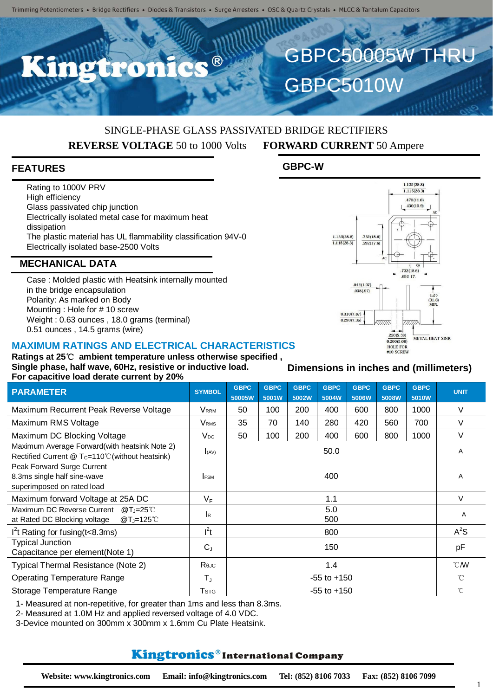$\bullet$   $\circledR$ 

# SINGLE-PHASE GLASS PASSIVATED BRIDGE RECTIFIERS **REVERSE VOLTAGE** 50 to 1000 Volts **FORWARD CURRENT** 50 Ampere

#### **FEATURES**

Rating to 1000V PRV High efficiency Glass passivated chip junction Electrically isolated metal case for maximum heat dissipation The plastic material has UL flammability classification 94V-0 Electrically isolated base-2500 Volts

#### **MECHANICAL DATA**

Case : Molded plastic with Heatsink internally mounted in the bridge encapsulation Polarity: As marked on Body Mounting : Hole for # 10 screw Weight : 0.63 ounces , 18.0 grams (terminal) 0.51 ounces , 14.5 grams (wire)

#### **MAXIMUM RATINGS AND ELECTRICAL CHARACTERISTICS**

**Ratings at 25**℃ **ambient temperature unless otherwise specified , Single phase, half wave, 60Hz, resistive or inductive load. For capacitive load derate current by 20%**

| <b>PARAMETER</b>                                                 | <b>SYMBOL</b>              | <b>GBPC</b>     | <b>GBPC</b>  | <b>GBPC</b><br>5002W | <b>GBPC</b><br>5004W | <b>GBPC</b>  | <b>GBPC</b><br>5008W | <b>GBPC</b>   | <b>UNIT</b>  |
|------------------------------------------------------------------|----------------------------|-----------------|--------------|----------------------|----------------------|--------------|----------------------|---------------|--------------|
| Maximum Recurrent Peak Reverse Voltage                           | Vrrm                       | 50005W<br>50    | 5001W<br>100 | 200                  | 400                  | 5006W<br>600 | 800                  | 5010W<br>1000 | V            |
| Maximum RMS Voltage                                              | <b>V</b> <sub>RMS</sub>    | 35              | 70           | 140                  | 280                  | 420          | 560                  | 700           | V            |
| Maximum DC Blocking Voltage                                      | $V_{DC}$                   | 50              | 100          | 200                  | 400                  | 600          | 800                  | 1000          | V            |
| Maximum Average Forward(with heatsink Note 2)                    |                            |                 |              |                      |                      |              |                      |               |              |
| Rectified Current $@T_c=110^{\circ}$ C (without heatsink)        | 50.0<br>(AV)               |                 |              |                      |                      |              |                      | A             |              |
| Peak Forward Surge Current                                       |                            |                 |              |                      |                      |              |                      |               |              |
| 8.3ms single half sine-wave                                      | 400<br><b>FSM</b>          |                 |              |                      |                      |              |                      | A             |              |
| superimposed on rated load                                       |                            |                 |              |                      |                      |              |                      |               |              |
| Maximum forward Voltage at 25A DC                                | $V_F$                      | 1.1             |              |                      |                      |              |                      |               | V            |
| Maximum DC Reverse Current<br>@T <sub>J</sub> =25 <sup>°</sup> C | 5.0<br>$\mathsf{R}$<br>500 |                 |              |                      |                      |              |                      | A             |              |
| at Rated DC Blocking voltage<br>@T <sub>J</sub> =125°C           |                            |                 |              |                      |                      |              |                      |               |              |
| $I2$ t Rating for fusing (t<8.3ms)                               | $l^2t$                     | 800             |              |                      |                      |              |                      |               | $A^2S$       |
| <b>Typical Junction</b>                                          | $C_{J}$                    | 150             |              |                      |                      |              |                      |               | pF           |
| Capacitance per element(Note 1)                                  |                            |                 |              |                      |                      |              |                      |               |              |
| Typical Thermal Resistance (Note 2)                              | Rejc                       | 1.4             |              |                      |                      |              |                      |               | °CM          |
| <b>Operating Temperature Range</b>                               | $T_{\rm J}$                | $-55$ to $+150$ |              |                      |                      |              |                      |               | $^{\circ}$ C |
| Storage Temperature Range                                        | <b>T</b> stg               | $-55$ to $+150$ |              |                      |                      |              |                      |               | $^{\circ}$ C |

1- Measured at non-repetitive, for greater than 1ms and less than 8.3ms.

2- Measured at 1.0M Hz and applied reversed voltage of 4.0 VDC.

3-Device mounted on 300mm x 300mm x 1.6mm Cu Plate Heatsink.

### **Kingtronics**®International Company

#### $0.290(7.36)$  $.220(5.59)$ METAL HEAT SINK  $0.200(5.08)$ **HOLE FOR**  $#10$  SCREW

#### **Dimensions in inches and (millimeters)**



 $1.135(28.8)$ 

GBPC50005W

GBPC5010W

**GBPC-W**